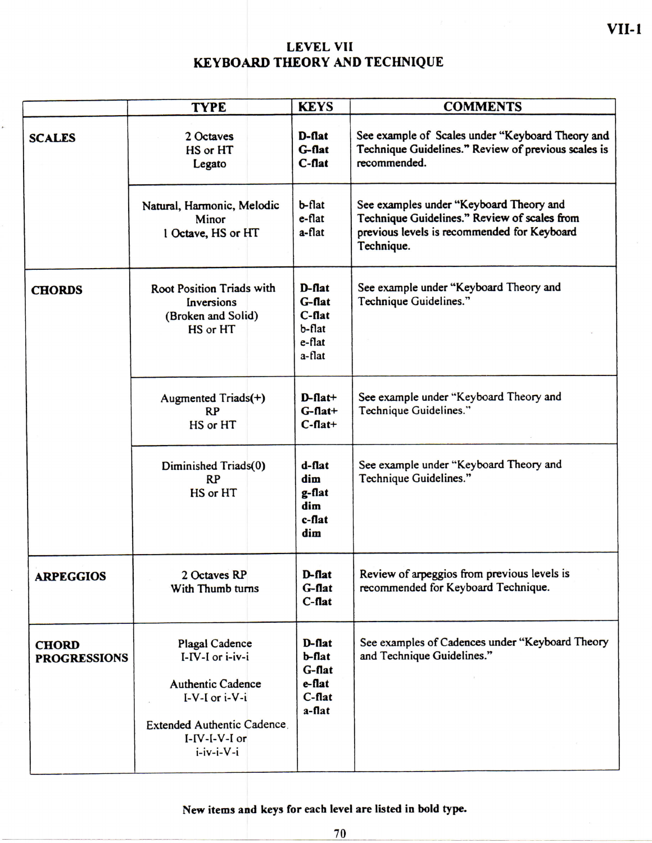## **LEVE L VII KEYBOARD THEORY AND TECHNIQUE**

|                                     | <b>TYPE</b>                                                                                                                                                       | <b>KEYS</b>                                                          | <b>COMMENTS</b>                                                                                                                                      |  |  |
|-------------------------------------|-------------------------------------------------------------------------------------------------------------------------------------------------------------------|----------------------------------------------------------------------|------------------------------------------------------------------------------------------------------------------------------------------------------|--|--|
| <b>SCALES</b>                       | 2 Octaves<br>HS or HT<br>Legato                                                                                                                                   | D-flat<br>G-flat<br>$C$ -flat                                        | See example of Scales under "Keyboard Theory and<br>Technique Guidelines." Review of previous scales is<br>recommended.                              |  |  |
|                                     | Natural, Harmonic, Melodic<br>Minor<br>1 Octave, HS or HT                                                                                                         | b-flat<br>e-flat<br>a-flat                                           | See examples under "Keyboard Theory and<br>Technique Guidelines." Review of scales from<br>previous levels is recommended for Keyboard<br>Technique. |  |  |
| <b>CHORDS</b>                       | Root Position Triads with<br>Inversions<br>(Broken and Solid)<br>HS or HT                                                                                         | $D$ -flat<br>G-flat<br>$C$ -flat<br>$b$ -flat<br>$e$ -flat<br>a-flat | See example under "Keyboard Theory and<br>Technique Guidelines."                                                                                     |  |  |
|                                     | Augmented Triads(+)<br><b>RP</b><br>HS or HT                                                                                                                      | $D$ -flat+<br>$G$ -flat+<br>$C$ -flat+                               | See example under "Keyboard Theory and<br>Technique Guidelines."                                                                                     |  |  |
|                                     | Diminished Triads(0)<br>RP<br><b>HS</b> or HT                                                                                                                     | $d$ -flat<br>dim<br>g-flat<br>dim<br>$c$ -flat<br>dim                | See example under "Keyboard Theory and<br>Technique Guidelines."                                                                                     |  |  |
| <b>ARPEGGIOS</b>                    | 2 Octaves RP<br>With Thumb turns                                                                                                                                  | $D$ -flat<br>G-flat<br>$C$ -flat                                     | Review of arpeggios from previous levels is<br>recommended for Keyboard Technique.                                                                   |  |  |
| <b>CHORD</b><br><b>PROGRESSIONS</b> | <b>Plagal Cadence</b><br>I-IV-I or i-iv-i<br><b>Authentic Cadence</b><br>$I-V-I$ or $i-V-i$<br>Extended Authentic Cadence<br>$I-IV-I-V-I$ or<br>$i$ -iv-i- $V$ -i | $D$ -flat<br>$b$ -flat<br>G-flat<br>e-flat<br>$C$ -flat<br>a-flat    | See examples of Cadences under "Keyboard Theory<br>and Technique Guidelines."                                                                        |  |  |

**New items and keys for each level are listed In bold type.**